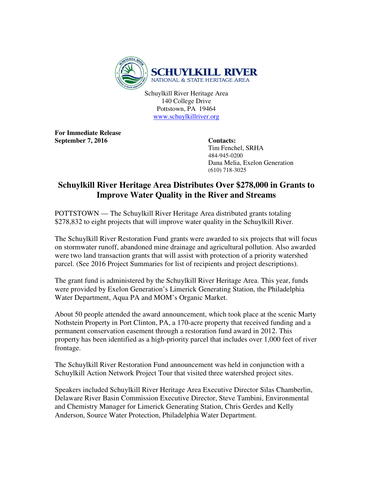

Schuylkill River Heritage Area 140 College Drive Pottstown, PA 19464 www.schuylkillriver.org

**For Immediate Release**  September 7, 2016 Contacts:

 Tim Fenchel, SRHA 484-945-0200 Dana Melia, Exelon Generation (610) 718-3025

## **Schuylkill River Heritage Area Distributes Over \$278,000 in Grants to Improve Water Quality in the River and Streams**

POTTSTOWN — The Schuylkill River Heritage Area distributed grants totaling \$278,832 to eight projects that will improve water quality in the Schuylkill River.

The Schuylkill River Restoration Fund grants were awarded to six projects that will focus on stormwater runoff, abandoned mine drainage and agricultural pollution. Also awarded were two land transaction grants that will assist with protection of a priority watershed parcel. (See 2016 Project Summaries for list of recipients and project descriptions).

The grant fund is administered by the Schuylkill River Heritage Area. This year, funds were provided by Exelon Generation's Limerick Generating Station, the Philadelphia Water Department, Aqua PA and MOM's Organic Market.

About 50 people attended the award announcement, which took place at the scenic Marty Nothstein Property in Port Clinton, PA, a 170-acre property that received funding and a permanent conservation easement through a restoration fund award in 2012. This property has been identified as a high-priority parcel that includes over 1,000 feet of river frontage.

The Schuylkill River Restoration Fund announcement was held in conjunction with a Schuylkill Action Network Project Tour that visited three watershed project sites.

Speakers included Schuylkill River Heritage Area Executive Director Silas Chamberlin, Delaware River Basin Commission Executive Director, Steve Tambini, Environmental and Chemistry Manager for Limerick Generating Station, Chris Gerdes and Kelly Anderson, Source Water Protection, Philadelphia Water Department.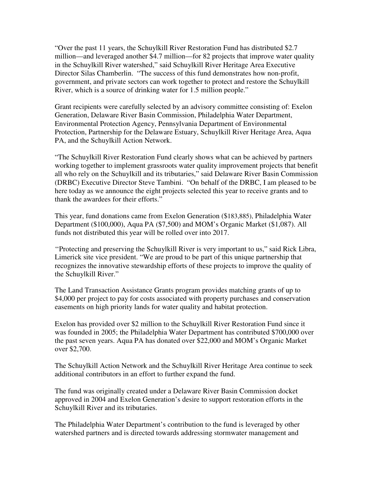"Over the past 11 years, the Schuylkill River Restoration Fund has distributed \$2.7 million—and leveraged another \$4.7 million—for 82 projects that improve water quality in the Schuylkill River watershed," said Schuylkill River Heritage Area Executive Director Silas Chamberlin. "The success of this fund demonstrates how non-profit, government, and private sectors can work together to protect and restore the Schuylkill River, which is a source of drinking water for 1.5 million people."

Grant recipients were carefully selected by an advisory committee consisting of: Exelon Generation, Delaware River Basin Commission, Philadelphia Water Department, Environmental Protection Agency, Pennsylvania Department of Environmental Protection, Partnership for the Delaware Estuary, Schuylkill River Heritage Area, Aqua PA, and the Schuylkill Action Network.

"The Schuylkill River Restoration Fund clearly shows what can be achieved by partners working together to implement grassroots water quality improvement projects that benefit all who rely on the Schuylkill and its tributaries," said Delaware River Basin Commission (DRBC) Executive Director Steve Tambini. "On behalf of the DRBC, I am pleased to be here today as we announce the eight projects selected this year to receive grants and to thank the awardees for their efforts."

This year, fund donations came from Exelon Generation (\$183,885), Philadelphia Water Department (\$100,000), Aqua PA (\$7,500) and MOM's Organic Market (\$1,087). All funds not distributed this year will be rolled over into 2017.

''Protecting and preserving the Schuylkill River is very important to us," said Rick Libra, Limerick site vice president. "We are proud to be part of this unique partnership that recognizes the innovative stewardship efforts of these projects to improve the quality of the Schuylkill River."

The Land Transaction Assistance Grants program provides matching grants of up to \$4,000 per project to pay for costs associated with property purchases and conservation easements on high priority lands for water quality and habitat protection.

Exelon has provided over \$2 million to the Schuylkill River Restoration Fund since it was founded in 2005; the Philadelphia Water Department has contributed \$700,000 over the past seven years. Aqua PA has donated over \$22,000 and MOM's Organic Market over \$2,700.

The Schuylkill Action Network and the Schuylkill River Heritage Area continue to seek additional contributors in an effort to further expand the fund.

The fund was originally created under a Delaware River Basin Commission docket approved in 2004 and Exelon Generation's desire to support restoration efforts in the Schuylkill River and its tributaries.

The Philadelphia Water Department's contribution to the fund is leveraged by other watershed partners and is directed towards addressing stormwater management and